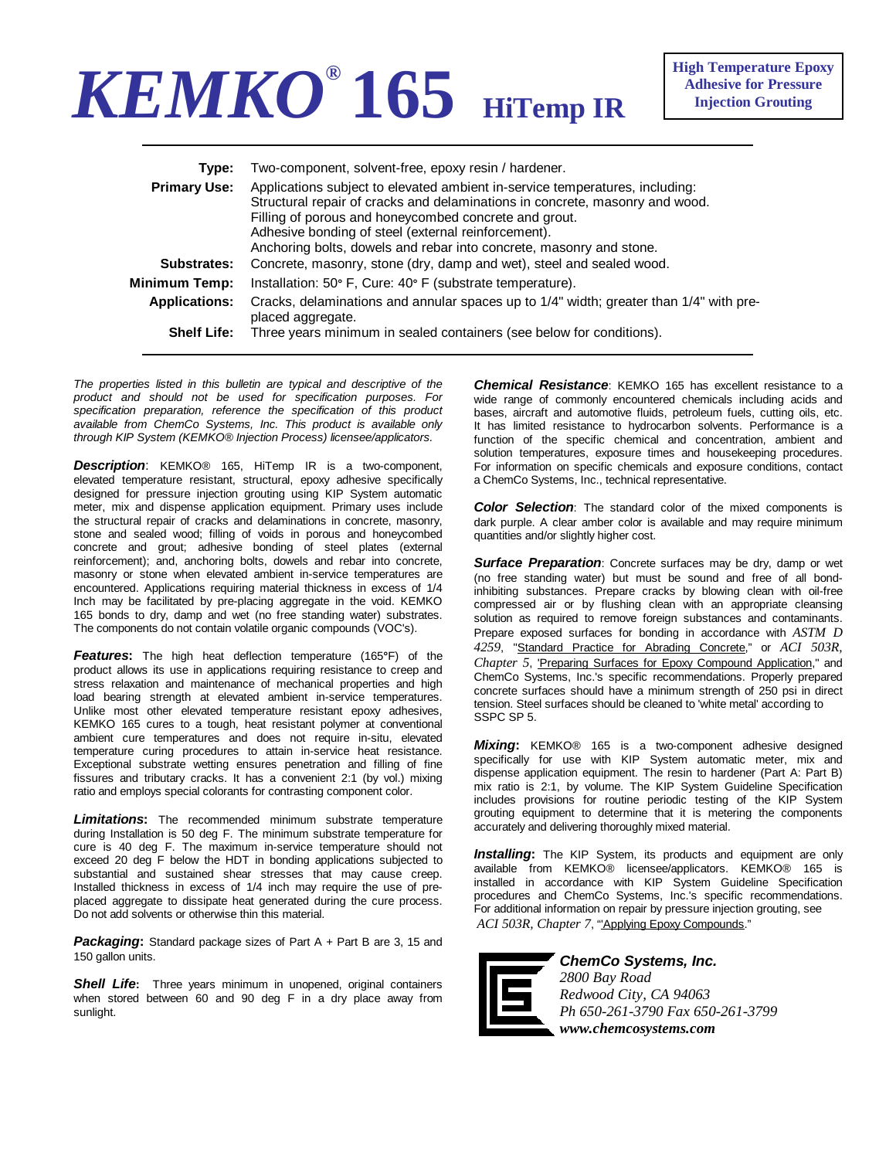## *KEMKO®* **165 HiTemp IR**

| Type:                | Two-component, solvent-free, epoxy resin / hardener.                                                                                                                                                                                                                                                                                                |
|----------------------|-----------------------------------------------------------------------------------------------------------------------------------------------------------------------------------------------------------------------------------------------------------------------------------------------------------------------------------------------------|
| <b>Primary Use:</b>  | Applications subject to elevated ambient in-service temperatures, including:<br>Structural repair of cracks and delaminations in concrete, masonry and wood.<br>Filling of porous and honeycombed concrete and grout.<br>Adhesive bonding of steel (external reinforcement).<br>Anchoring bolts, dowels and rebar into concrete, masonry and stone. |
| Substrates:          | Concrete, masonry, stone (dry, damp and wet), steel and sealed wood.                                                                                                                                                                                                                                                                                |
| Minimum Temp:        | Installation: 50° F, Cure: 40° F (substrate temperature).                                                                                                                                                                                                                                                                                           |
| <b>Applications:</b> | Cracks, delaminations and annular spaces up to 1/4" width; greater than 1/4" with pre-<br>placed aggregate.                                                                                                                                                                                                                                         |
| <b>Shelf Life:</b>   | Three years minimum in sealed containers (see below for conditions).                                                                                                                                                                                                                                                                                |

*The properties listed in this bulletin are typical and descriptive of the product and should not be used for specification purposes. For specification preparation, reference the specification of this product available from ChemCo Systems, Inc. This product is available only through KIP System (KEMKO® Injection Process) licensee/applicators.* 

*Description*: KEMKO® 165, HiTemp IR is a two-component, elevated temperature resistant, structural, epoxy adhesive specifically designed for pressure injection grouting using KIP System automatic meter, mix and dispense application equipment. Primary uses include the structural repair of cracks and delaminations in concrete, masonry, stone and sealed wood; filling of voids in porous and honeycombed concrete and grout; adhesive bonding of steel plates (external reinforcement); and, anchoring bolts, dowels and rebar into concrete, masonry or stone when elevated ambient in-service temperatures are encountered. Applications requiring material thickness in excess of 1/4 Inch may be facilitated by pre-placing aggregate in the void. KEMKO 165 bonds to dry, damp and wet (no free standing water) substrates. The components do not contain volatile organic compounds (VOC's).

*Features***:** The high heat deflection temperature (165**°**F) of the product allows its use in applications requiring resistance to creep and stress relaxation and maintenance of mechanical properties and high load bearing strength at elevated ambient in-service temperatures. Unlike most other elevated temperature resistant epoxy adhesives, KEMKO 165 cures to a tough, heat resistant polymer at conventional ambient cure temperatures and does not require in-situ, elevated temperature curing procedures to attain in-service heat resistance. Exceptional substrate wetting ensures penetration and filling of fine fissures and tributary cracks. It has a convenient 2:1 (by vol.) mixing ratio and employs special colorants for contrasting component color.

*Limitations***:** The recommended minimum substrate temperature during Installation is 50 deg F. The minimum substrate temperature for cure is 40 deg F. The maximum in-service temperature should not exceed 20 deg F below the HDT in bonding applications subjected to substantial and sustained shear stresses that may cause creep. Installed thickness in excess of 1/4 inch may require the use of preplaced aggregate to dissipate heat generated during the cure process. Do not add solvents or otherwise thin this material.

*Packaging***:** Standard package sizes of Part A + Part B are 3, 15 and 150 gallon units.

**Shell Life:** Three years minimum in unopened, original containers when stored between 60 and 90 deg F in a dry place away from sunlight.

*Chemical Resistance*: KEMKO 165 has excellent resistance to a wide range of commonly encountered chemicals including acids and bases, aircraft and automotive fluids, petroleum fuels, cutting oils, etc. It has limited resistance to hydrocarbon solvents. Performance is a function of the specific chemical and concentration, ambient and solution temperatures, exposure times and housekeeping procedures. For information on specific chemicals and exposure conditions, contact a ChemCo Systems, Inc., technical representative.

*Color Selection*: The standard color of the mixed components is dark purple. A clear amber color is available and may require minimum quantities and/or slightly higher cost.

**Surface Preparation:** Concrete surfaces may be dry, damp or wet (no free standing water) but must be sound and free of all bondinhibiting substances. Prepare cracks by blowing clean with oil-free compressed air or by flushing clean with an appropriate cleansing solution as required to remove foreign substances and contaminants. Prepare exposed surfaces for bonding in accordance with *ASTM D 4259*, "Standard Practice for Abrading Concrete," or *ACI 503R, Chapter 5*, 'Preparing Surfaces for Epoxy Compound Application," and ChemCo Systems, Inc.'s specific recommendations. Properly prepared concrete surfaces should have a minimum strength of 250 psi in direct tension. Steel surfaces should be cleaned to 'white metal' according to SSPC SP 5.

*Mixing***:** KEMKO® 165 is a two-component adhesive designed specifically for use with KIP System automatic meter, mix and dispense application equipment. The resin to hardener (Part A: Part B) mix ratio is 2:1, by volume. The KIP System Guideline Specification includes provisions for routine periodic testing of the KIP System grouting equipment to determine that it is metering the components accurately and delivering thoroughly mixed material.

*Installing***:** The KIP System, its products and equipment are only available from KEMKO® licensee/applicators. KEMKO® 165 is installed in accordance with KIP System Guideline Specification procedures and ChemCo Systems, Inc.'s specific recommendations. For additional information on repair by pressure injection grouting, see *ACI 503R, Chapter 7*, "'Applying Epoxy Compounds."



*ChemCo Systems, Inc. 2800 Bay Road Redwood City, CA 94063 Ph 650-261-3790 Fax 650-261-3799 www.chemcosystems.com*